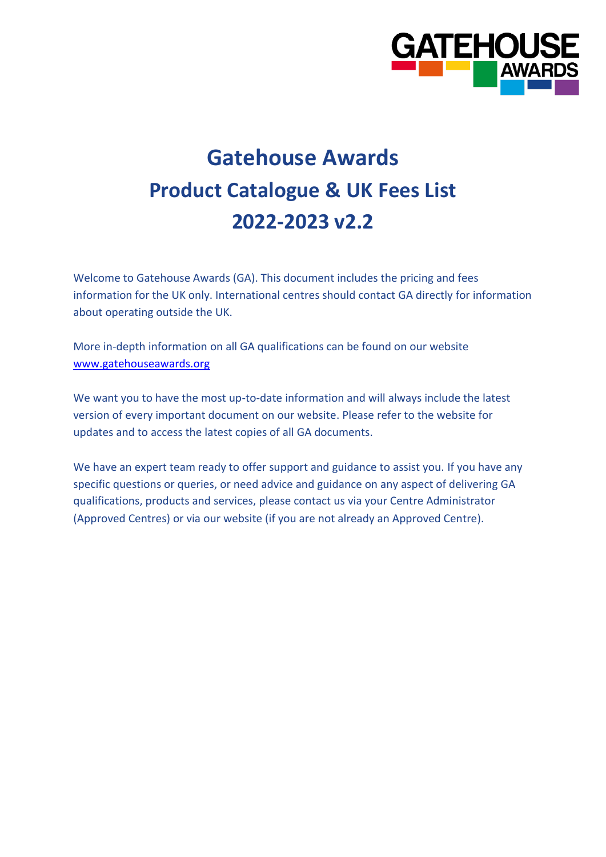

# **Gatehouse Awards Product Catalogue & UK Fees List 2022-2023 v2.2**

Welcome to Gatehouse Awards (GA). This document includes the pricing and fees information for the UK only. International centres should contact GA directly for information about operating outside the UK.

More in-depth information on all GA qualifications can be found on our website [www.gatehouseawards.org](http://www.gatehouseawards.org/)

We want you to have the most up-to-date information and will always include the latest version of every important document on our website. Please refer to the website for updates and to access the latest copies of all GA documents.

We have an expert team ready to offer support and guidance to assist you. If you have any specific questions or queries, or need advice and guidance on any aspect of delivering GA qualifications, products and services, please contact us via your Centre Administrator (Approved Centres) or via our website (if you are not already an Approved Centre).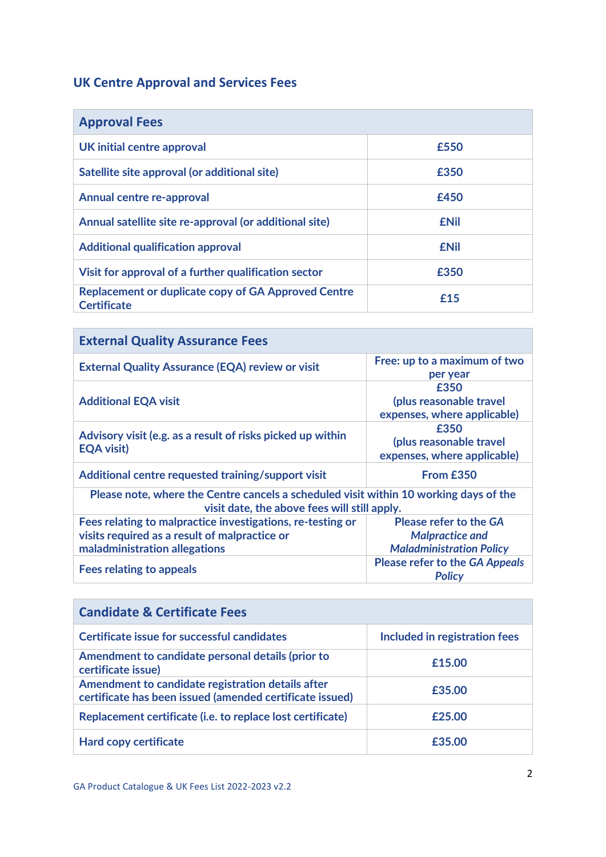#### **UK Centre Approval and Services Fees**

| <b>Approval Fees</b>                                                             |             |
|----------------------------------------------------------------------------------|-------------|
| UK initial centre approval                                                       | £550        |
| Satellite site approval (or additional site)                                     | £350        |
| <b>Annual centre re-approval</b>                                                 | £450        |
| Annual satellite site re-approval (or additional site)                           | <b>£Nil</b> |
| <b>Additional qualification approval</b>                                         | <b>£Nil</b> |
| Visit for approval of a further qualification sector                             | <b>£350</b> |
| <b>Replacement or duplicate copy of GA Approved Centre</b><br><b>Certificate</b> | f15         |

| <b>External Quality Assurance Fees</b>                                                                                                |                                                                |
|---------------------------------------------------------------------------------------------------------------------------------------|----------------------------------------------------------------|
| <b>External Quality Assurance (EQA) review or visit</b>                                                                               | Free: up to a maximum of two<br>per year                       |
| <b>Additional EQA visit</b>                                                                                                           | £350<br>(plus reasonable travel<br>expenses, where applicable) |
| Advisory visit (e.g. as a result of risks picked up within<br><b>EQA visit)</b>                                                       | £350<br>(plus reasonable travel<br>expenses, where applicable) |
| Additional centre requested training/support visit                                                                                    | From £350                                                      |
| Please note, where the Centre cancels a scheduled visit within 10 working days of the<br>visit date, the above fees will still apply. |                                                                |
| Fees relating to malpractice investigations, re-testing or                                                                            | <b>Please refer to the GA</b>                                  |
| visits required as a result of malpractice or                                                                                         | <b>Malpractice and</b>                                         |
| maladministration allegations                                                                                                         | <b>Maladministration Policy</b>                                |
| <b>Fees relating to appeals</b>                                                                                                       | <b>Please refer to the GA Appeals</b><br><b>Policy</b>         |

| <b>Candidate &amp; Certificate Fees</b>                                                                       |                               |  |  |  |
|---------------------------------------------------------------------------------------------------------------|-------------------------------|--|--|--|
| Certificate issue for successful candidates                                                                   | Included in registration fees |  |  |  |
| Amendment to candidate personal details (prior to<br>certificate issue)                                       | £15.00                        |  |  |  |
| Amendment to candidate registration details after<br>certificate has been issued (amended certificate issued) | £35.00                        |  |  |  |
| Replacement certificate (i.e. to replace lost certificate)                                                    | £25.00                        |  |  |  |
| <b>Hard copy certificate</b>                                                                                  | £35.00                        |  |  |  |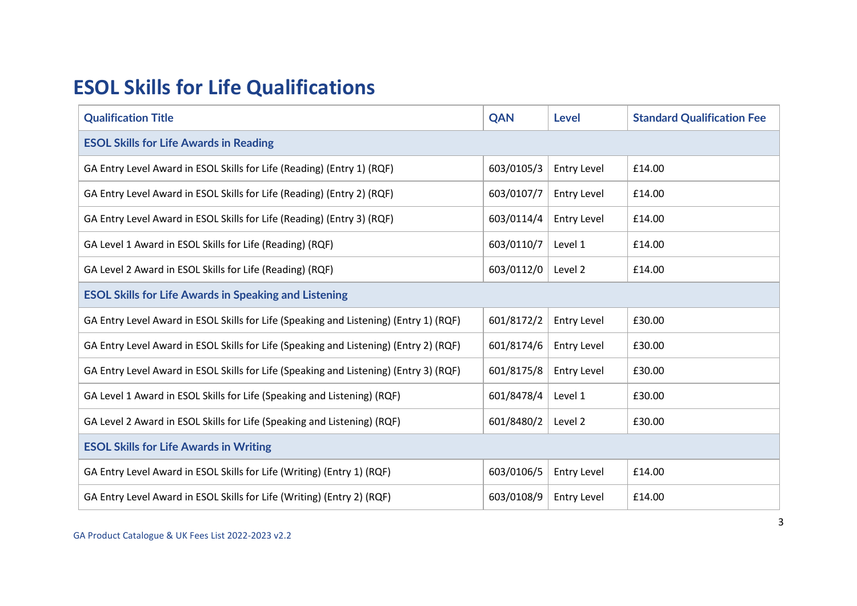### **ESOL Skills for Life Qualifications**

| <b>Qualification Title</b>                                                            | <b>QAN</b> | Level              | <b>Standard Qualification Fee</b> |  |
|---------------------------------------------------------------------------------------|------------|--------------------|-----------------------------------|--|
| <b>ESOL Skills for Life Awards in Reading</b>                                         |            |                    |                                   |  |
| GA Entry Level Award in ESOL Skills for Life (Reading) (Entry 1) (RQF)                | 603/0105/3 | <b>Entry Level</b> | £14.00                            |  |
| GA Entry Level Award in ESOL Skills for Life (Reading) (Entry 2) (RQF)                | 603/0107/7 | <b>Entry Level</b> | £14.00                            |  |
| GA Entry Level Award in ESOL Skills for Life (Reading) (Entry 3) (RQF)                | 603/0114/4 | <b>Entry Level</b> | £14.00                            |  |
| GA Level 1 Award in ESOL Skills for Life (Reading) (RQF)                              | 603/0110/7 | Level 1            | £14.00                            |  |
| GA Level 2 Award in ESOL Skills for Life (Reading) (RQF)                              | 603/0112/0 | Level 2            | £14.00                            |  |
| <b>ESOL Skills for Life Awards in Speaking and Listening</b>                          |            |                    |                                   |  |
| GA Entry Level Award in ESOL Skills for Life (Speaking and Listening) (Entry 1) (RQF) | 601/8172/2 | <b>Entry Level</b> | £30.00                            |  |
| GA Entry Level Award in ESOL Skills for Life (Speaking and Listening) (Entry 2) (RQF) | 601/8174/6 | <b>Entry Level</b> | £30.00                            |  |
| GA Entry Level Award in ESOL Skills for Life (Speaking and Listening) (Entry 3) (RQF) | 601/8175/8 | <b>Entry Level</b> | £30.00                            |  |
| GA Level 1 Award in ESOL Skills for Life (Speaking and Listening) (RQF)               | 601/8478/4 | Level 1            | £30.00                            |  |
| GA Level 2 Award in ESOL Skills for Life (Speaking and Listening) (RQF)               | 601/8480/2 | Level 2            | £30.00                            |  |
| <b>ESOL Skills for Life Awards in Writing</b>                                         |            |                    |                                   |  |
| GA Entry Level Award in ESOL Skills for Life (Writing) (Entry 1) (RQF)                | 603/0106/5 | <b>Entry Level</b> | £14.00                            |  |
| GA Entry Level Award in ESOL Skills for Life (Writing) (Entry 2) (RQF)                | 603/0108/9 | Entry Level        | £14.00                            |  |

GA Product Catalogue & UK Fees List 2022-2023 v2.2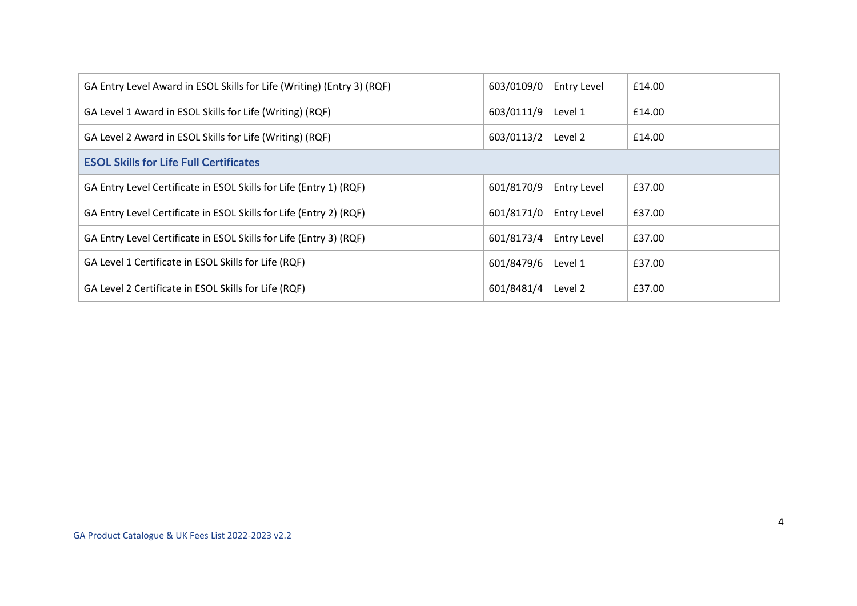| GA Entry Level Award in ESOL Skills for Life (Writing) (Entry 3) (RQF) | 603/0109/0 | <b>Entry Level</b> | £14.00 |
|------------------------------------------------------------------------|------------|--------------------|--------|
| GA Level 1 Award in ESOL Skills for Life (Writing) (RQF)               | 603/0111/9 | Level 1            | £14.00 |
| GA Level 2 Award in ESOL Skills for Life (Writing) (RQF)               | 603/0113/2 | Level 2            | £14.00 |
| <b>ESOL Skills for Life Full Certificates</b>                          |            |                    |        |
| GA Entry Level Certificate in ESOL Skills for Life (Entry 1) (RQF)     | 601/8170/9 | <b>Entry Level</b> | £37.00 |
| GA Entry Level Certificate in ESOL Skills for Life (Entry 2) (RQF)     | 601/8171/0 | <b>Entry Level</b> | £37.00 |
| GA Entry Level Certificate in ESOL Skills for Life (Entry 3) (RQF)     | 601/8173/4 | <b>Entry Level</b> | £37.00 |
| GA Level 1 Certificate in ESOL Skills for Life (RQF)                   | 601/8479/6 | Level 1            | £37.00 |
| GA Level 2 Certificate in ESOL Skills for Life (RQF)                   | 601/8481/4 | Level 2            | £37.00 |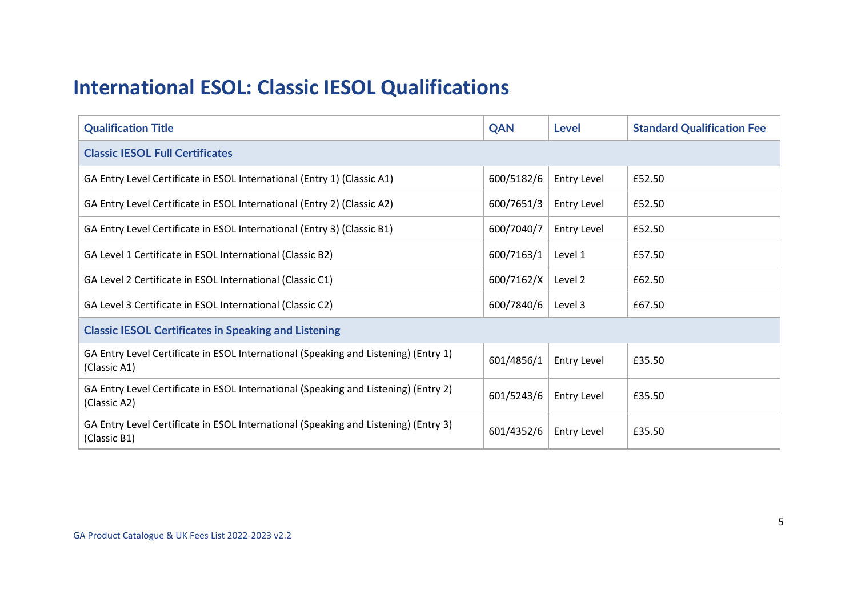#### **International ESOL: Classic IESOL Qualifications**

| <b>Qualification Title</b>                                                                          | QAN        | <b>Level</b>       | <b>Standard Qualification Fee</b> |
|-----------------------------------------------------------------------------------------------------|------------|--------------------|-----------------------------------|
| <b>Classic IESOL Full Certificates</b>                                                              |            |                    |                                   |
| GA Entry Level Certificate in ESOL International (Entry 1) (Classic A1)                             | 600/5182/6 | <b>Entry Level</b> | £52.50                            |
| GA Entry Level Certificate in ESOL International (Entry 2) (Classic A2)                             | 600/7651/3 | <b>Entry Level</b> | £52.50                            |
| GA Entry Level Certificate in ESOL International (Entry 3) (Classic B1)                             | 600/7040/7 | <b>Entry Level</b> | £52.50                            |
| GA Level 1 Certificate in ESOL International (Classic B2)                                           | 600/7163/1 | Level 1            | £57.50                            |
| GA Level 2 Certificate in ESOL International (Classic C1)                                           | 600/7162/X | Level 2            | £62.50                            |
| GA Level 3 Certificate in ESOL International (Classic C2)                                           | 600/7840/6 | Level 3            | £67.50                            |
| <b>Classic IESOL Certificates in Speaking and Listening</b>                                         |            |                    |                                   |
| GA Entry Level Certificate in ESOL International (Speaking and Listening) (Entry 1)<br>(Classic A1) | 601/4856/1 | <b>Entry Level</b> | £35.50                            |
| GA Entry Level Certificate in ESOL International (Speaking and Listening) (Entry 2)<br>(Classic A2) | 601/5243/6 | <b>Entry Level</b> | £35.50                            |
| GA Entry Level Certificate in ESOL International (Speaking and Listening) (Entry 3)<br>(Classic B1) | 601/4352/6 | Entry Level        | £35.50                            |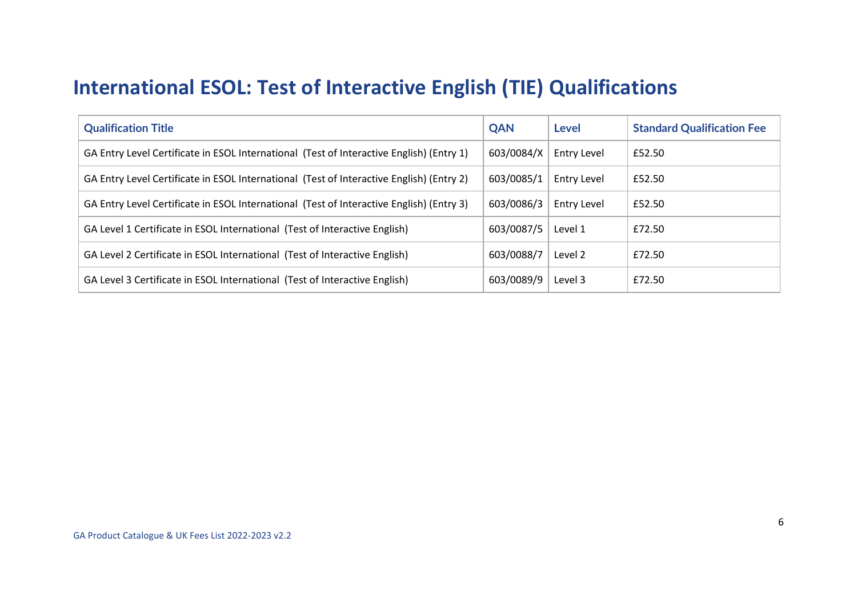#### **International ESOL: Test of Interactive English (TIE) Qualifications**

| <b>Qualification Title</b>                                                               | <b>QAN</b> | Level              | <b>Standard Qualification Fee</b> |
|------------------------------------------------------------------------------------------|------------|--------------------|-----------------------------------|
| GA Entry Level Certificate in ESOL International (Test of Interactive English) (Entry 1) | 603/0084/X | Entry Level        | £52.50                            |
| GA Entry Level Certificate in ESOL International (Test of Interactive English) (Entry 2) | 603/0085/1 | <b>Entry Level</b> | £52.50                            |
| GA Entry Level Certificate in ESOL International (Test of Interactive English) (Entry 3) | 603/0086/3 | Entry Level        | £52.50                            |
| GA Level 1 Certificate in ESOL International (Test of Interactive English)               | 603/0087/5 | Level 1            | £72.50                            |
| GA Level 2 Certificate in ESOL International (Test of Interactive English)               | 603/0088/7 | Level 2            | £72.50                            |
| GA Level 3 Certificate in ESOL International (Test of Interactive English)               | 603/0089/9 | Level 3            | £72.50                            |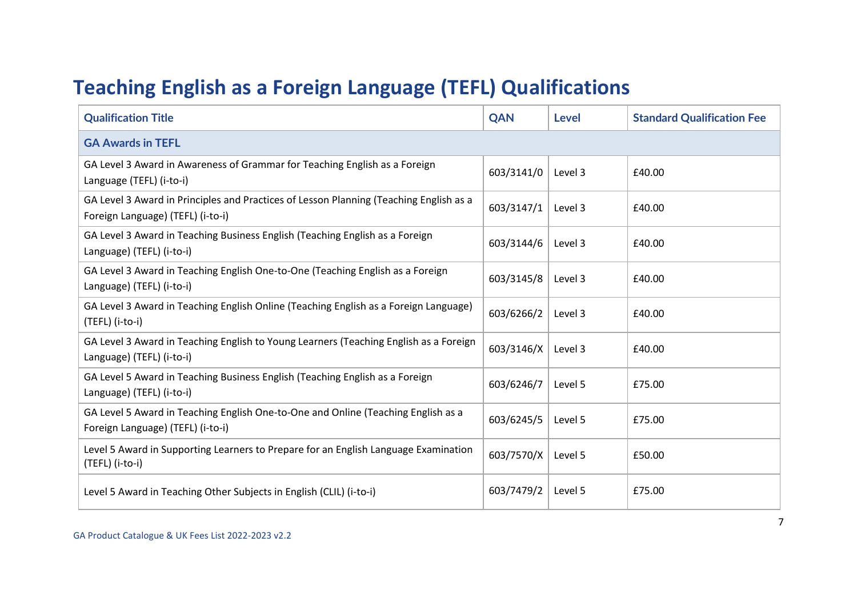# **Teaching English as a Foreign Language (TEFL) Qualifications**

| <b>Qualification Title</b>                                                                                                  | <b>QAN</b> | Level   | <b>Standard Qualification Fee</b> |  |
|-----------------------------------------------------------------------------------------------------------------------------|------------|---------|-----------------------------------|--|
| <b>GA Awards in TEFL</b>                                                                                                    |            |         |                                   |  |
| GA Level 3 Award in Awareness of Grammar for Teaching English as a Foreign<br>Language (TEFL) (i-to-i)                      | 603/3141/0 | Level 3 | £40.00                            |  |
| GA Level 3 Award in Principles and Practices of Lesson Planning (Teaching English as a<br>Foreign Language) (TEFL) (i-to-i) | 603/3147/1 | Level 3 | £40.00                            |  |
| GA Level 3 Award in Teaching Business English (Teaching English as a Foreign<br>Language) (TEFL) (i-to-i)                   | 603/3144/6 | Level 3 | £40.00                            |  |
| GA Level 3 Award in Teaching English One-to-One (Teaching English as a Foreign<br>Language) (TEFL) (i-to-i)                 | 603/3145/8 | Level 3 | £40.00                            |  |
| GA Level 3 Award in Teaching English Online (Teaching English as a Foreign Language)<br>(TEFL) (i-to-i)                     | 603/6266/2 | Level 3 | £40.00                            |  |
| GA Level 3 Award in Teaching English to Young Learners (Teaching English as a Foreign<br>Language) (TEFL) (i-to-i)          | 603/3146/X | Level 3 | £40.00                            |  |
| GA Level 5 Award in Teaching Business English (Teaching English as a Foreign<br>Language) (TEFL) (i-to-i)                   | 603/6246/7 | Level 5 | £75.00                            |  |
| GA Level 5 Award in Teaching English One-to-One and Online (Teaching English as a<br>Foreign Language) (TEFL) (i-to-i)      | 603/6245/5 | Level 5 | £75.00                            |  |
| Level 5 Award in Supporting Learners to Prepare for an English Language Examination<br>(TEFL) (i-to-i)                      | 603/7570/X | Level 5 | £50.00                            |  |
| Level 5 Award in Teaching Other Subjects in English (CLIL) (i-to-i)                                                         | 603/7479/2 | Level 5 | £75.00                            |  |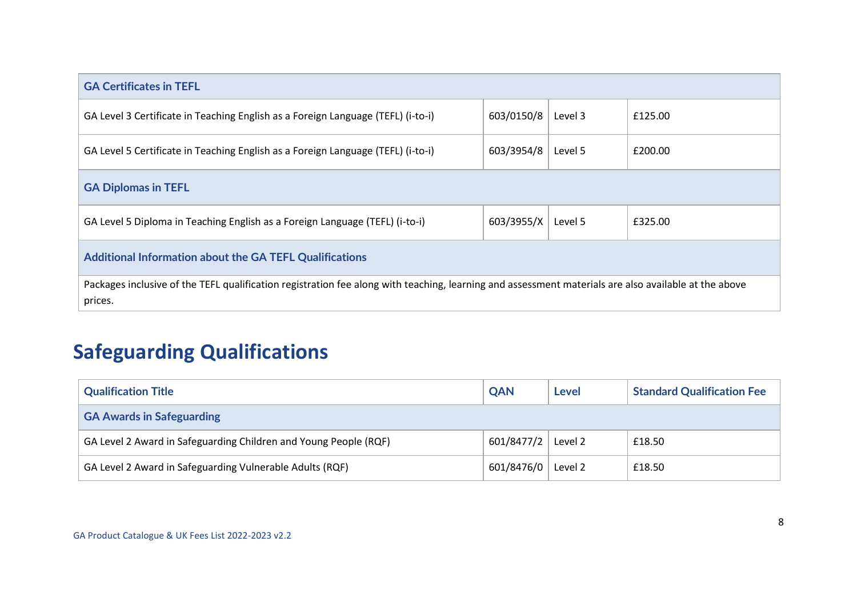| <b>GA Certificates in TEFL</b>                                                                                                                                  |            |         |         |
|-----------------------------------------------------------------------------------------------------------------------------------------------------------------|------------|---------|---------|
| GA Level 3 Certificate in Teaching English as a Foreign Language (TEFL) (i-to-i)                                                                                | 603/0150/8 | Level 3 | £125.00 |
| GA Level 5 Certificate in Teaching English as a Foreign Language (TEFL) (i-to-i)                                                                                | 603/3954/8 | Level 5 | £200.00 |
| <b>GA Diplomas in TEFL</b>                                                                                                                                      |            |         |         |
| GA Level 5 Diploma in Teaching English as a Foreign Language (TEFL) (i-to-i)                                                                                    | 603/3955/X | Level 5 | £325.00 |
| <b>Additional Information about the GA TEFL Qualifications</b>                                                                                                  |            |         |         |
| Packages inclusive of the TEFL qualification registration fee along with teaching, learning and assessment materials are also available at the above<br>prices. |            |         |         |

# **Safeguarding Qualifications**

| <b>Qualification Title</b>                                       | <b>QAN</b> | <b>Level</b> | <b>Standard Qualification Fee</b> |
|------------------------------------------------------------------|------------|--------------|-----------------------------------|
| <b>GA Awards in Safeguarding</b>                                 |            |              |                                   |
| GA Level 2 Award in Safeguarding Children and Young People (RQF) | 601/8477/2 | Level 2      | £18.50                            |
| GA Level 2 Award in Safeguarding Vulnerable Adults (RQF)         | 601/8476/0 | Level 2      | £18.50                            |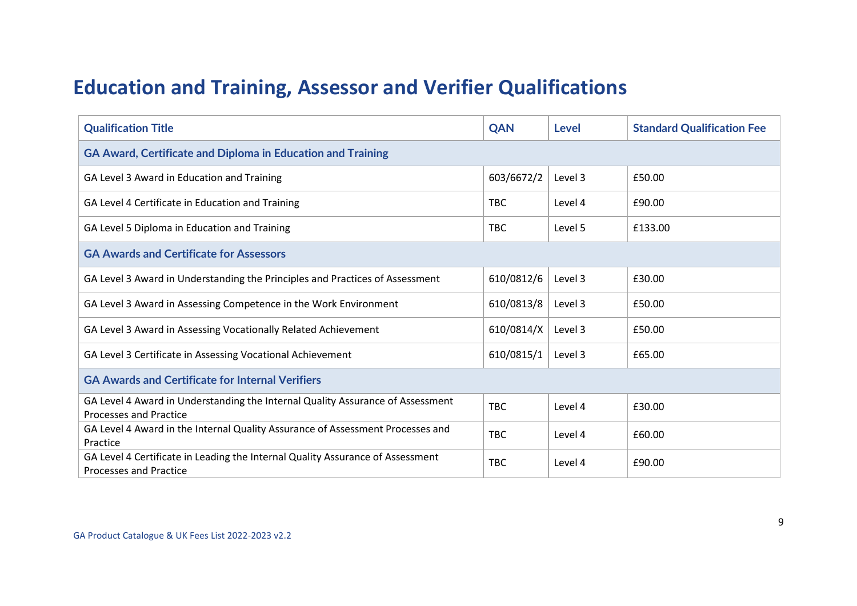#### **Education and Training, Assessor and Verifier Qualifications**

| <b>Qualification Title</b>                                                                                      | <b>QAN</b> | <b>Level</b> | <b>Standard Qualification Fee</b> |
|-----------------------------------------------------------------------------------------------------------------|------------|--------------|-----------------------------------|
| <b>GA Award, Certificate and Diploma in Education and Training</b>                                              |            |              |                                   |
| GA Level 3 Award in Education and Training                                                                      | 603/6672/2 | Level 3      | £50.00                            |
| GA Level 4 Certificate in Education and Training                                                                | TBC        | Level 4      | £90.00                            |
| GA Level 5 Diploma in Education and Training                                                                    | <b>TBC</b> | Level 5      | £133.00                           |
| <b>GA Awards and Certificate for Assessors</b>                                                                  |            |              |                                   |
| GA Level 3 Award in Understanding the Principles and Practices of Assessment                                    | 610/0812/6 | Level 3      | £30.00                            |
| GA Level 3 Award in Assessing Competence in the Work Environment                                                | 610/0813/8 | Level 3      | £50.00                            |
| GA Level 3 Award in Assessing Vocationally Related Achievement                                                  | 610/0814/X | Level 3      | £50.00                            |
| GA Level 3 Certificate in Assessing Vocational Achievement                                                      | 610/0815/1 | Level 3      | £65.00                            |
| <b>GA Awards and Certificate for Internal Verifiers</b>                                                         |            |              |                                   |
| GA Level 4 Award in Understanding the Internal Quality Assurance of Assessment<br><b>Processes and Practice</b> | <b>TBC</b> | Level 4      | £30.00                            |
| GA Level 4 Award in the Internal Quality Assurance of Assessment Processes and<br>Practice                      | <b>TBC</b> | Level 4      | £60.00                            |
| GA Level 4 Certificate in Leading the Internal Quality Assurance of Assessment<br><b>Processes and Practice</b> | <b>TBC</b> | Level 4      | £90.00                            |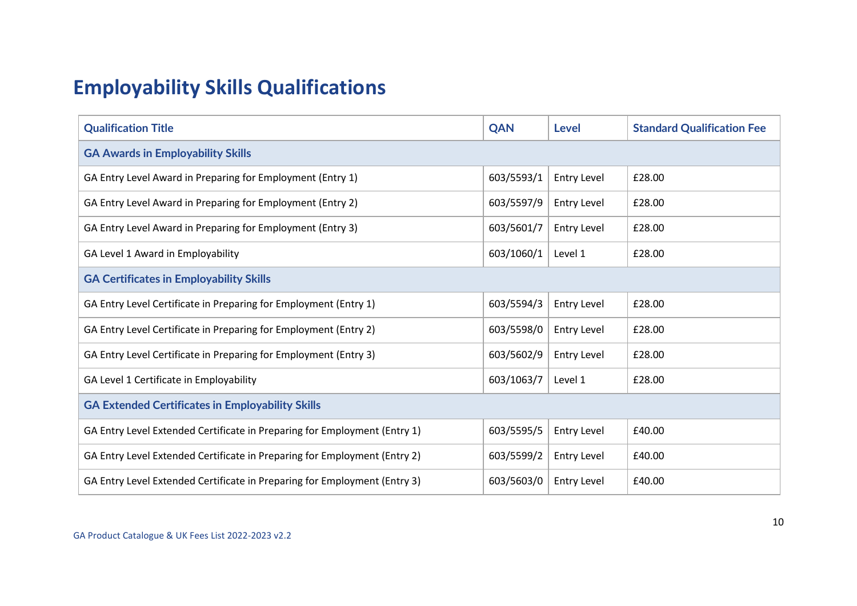# **Employability Skills Qualifications**

| <b>Qualification Title</b>                                                | <b>QAN</b> | <b>Level</b>       | <b>Standard Qualification Fee</b> |
|---------------------------------------------------------------------------|------------|--------------------|-----------------------------------|
| <b>GA Awards in Employability Skills</b>                                  |            |                    |                                   |
| GA Entry Level Award in Preparing for Employment (Entry 1)                | 603/5593/1 | <b>Entry Level</b> | £28.00                            |
| GA Entry Level Award in Preparing for Employment (Entry 2)                | 603/5597/9 | <b>Entry Level</b> | £28.00                            |
| GA Entry Level Award in Preparing for Employment (Entry 3)                | 603/5601/7 | <b>Entry Level</b> | £28.00                            |
| GA Level 1 Award in Employability                                         | 603/1060/1 | Level 1            | £28.00                            |
| <b>GA Certificates in Employability Skills</b>                            |            |                    |                                   |
| GA Entry Level Certificate in Preparing for Employment (Entry 1)          | 603/5594/3 | <b>Entry Level</b> | £28.00                            |
| GA Entry Level Certificate in Preparing for Employment (Entry 2)          | 603/5598/0 | <b>Entry Level</b> | £28.00                            |
| GA Entry Level Certificate in Preparing for Employment (Entry 3)          | 603/5602/9 | <b>Entry Level</b> | £28.00                            |
| GA Level 1 Certificate in Employability                                   | 603/1063/7 | Level 1            | £28.00                            |
| <b>GA Extended Certificates in Employability Skills</b>                   |            |                    |                                   |
| GA Entry Level Extended Certificate in Preparing for Employment (Entry 1) | 603/5595/5 | <b>Entry Level</b> | £40.00                            |
| GA Entry Level Extended Certificate in Preparing for Employment (Entry 2) | 603/5599/2 | <b>Entry Level</b> | £40.00                            |
| GA Entry Level Extended Certificate in Preparing for Employment (Entry 3) | 603/5603/0 | <b>Entry Level</b> | £40.00                            |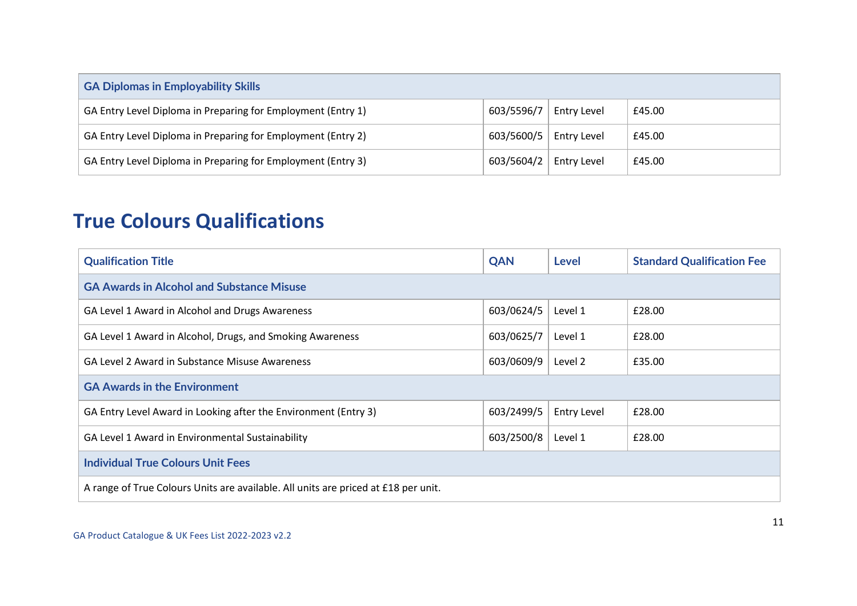| <b>GA Diplomas in Employability Skills</b>                   |            |                    |        |
|--------------------------------------------------------------|------------|--------------------|--------|
| GA Entry Level Diploma in Preparing for Employment (Entry 1) | 603/5596/7 | <b>Entry Level</b> | £45.00 |
| GA Entry Level Diploma in Preparing for Employment (Entry 2) | 603/5600/5 | <b>Entry Level</b> | £45.00 |
| GA Entry Level Diploma in Preparing for Employment (Entry 3) | 603/5604/2 | <b>Entry Level</b> | £45.00 |

### **True Colours Qualifications**

| <b>Qualification Title</b>                                                         | <b>QAN</b> | Level              | <b>Standard Qualification Fee</b> |  |
|------------------------------------------------------------------------------------|------------|--------------------|-----------------------------------|--|
| <b>GA Awards in Alcohol and Substance Misuse</b>                                   |            |                    |                                   |  |
| GA Level 1 Award in Alcohol and Drugs Awareness                                    | 603/0624/5 | Level 1            | £28.00                            |  |
| GA Level 1 Award in Alcohol, Drugs, and Smoking Awareness                          | 603/0625/7 | Level 1            | £28.00                            |  |
| GA Level 2 Award in Substance Misuse Awareness                                     | 603/0609/9 | Level 2            | £35.00                            |  |
| <b>GA Awards in the Environment</b>                                                |            |                    |                                   |  |
| GA Entry Level Award in Looking after the Environment (Entry 3)                    | 603/2499/5 | <b>Entry Level</b> | £28.00                            |  |
| GA Level 1 Award in Environmental Sustainability                                   | 603/2500/8 | Level 1            | £28.00                            |  |
| <b>Individual True Colours Unit Fees</b>                                           |            |                    |                                   |  |
| A range of True Colours Units are available. All units are priced at £18 per unit. |            |                    |                                   |  |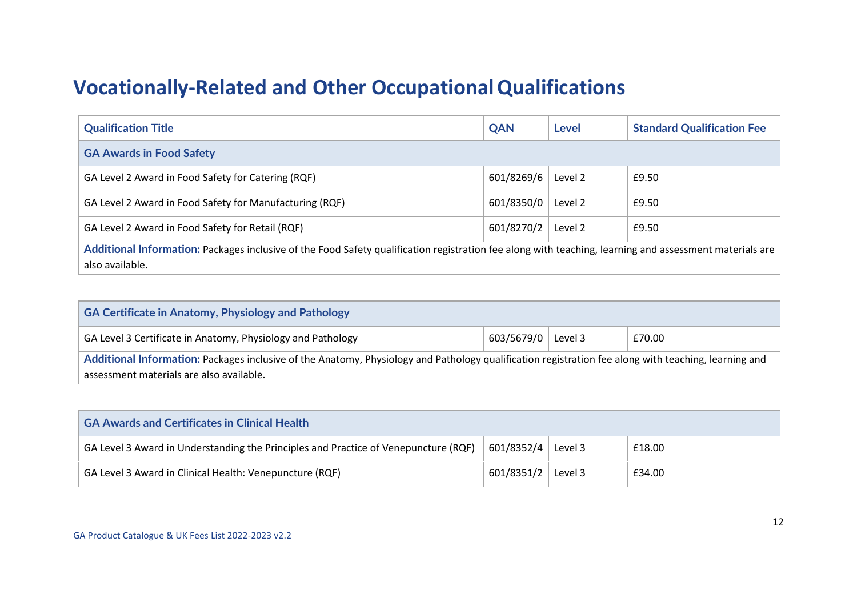### **Vocationally-Related and Other OccupationalQualifications**

| <b>QAN</b>                                                                                                                                                                 | Level   | <b>Standard Qualification Fee</b> |  |  |
|----------------------------------------------------------------------------------------------------------------------------------------------------------------------------|---------|-----------------------------------|--|--|
| <b>GA Awards in Food Safety</b>                                                                                                                                            |         |                                   |  |  |
| 601/8269/6                                                                                                                                                                 | Level 2 | £9.50                             |  |  |
| 601/8350/0                                                                                                                                                                 | Level 2 | £9.50                             |  |  |
| 601/8270/2                                                                                                                                                                 | Level 2 | £9.50                             |  |  |
| Additional Information: Packages inclusive of the Food Safety qualification registration fee along with teaching, learning and assessment materials are<br>also available. |         |                                   |  |  |
|                                                                                                                                                                            |         |                                   |  |  |

| <b>GA Certificate in Anatomy, Physiology and Pathology</b>                                                                                                                                       |            |         |        |
|--------------------------------------------------------------------------------------------------------------------------------------------------------------------------------------------------|------------|---------|--------|
| GA Level 3 Certificate in Anatomy, Physiology and Pathology                                                                                                                                      | 603/5679/0 | Level 3 | £70.00 |
| Additional Information: Packages inclusive of the Anatomy, Physiology and Pathology qualification registration fee along with teaching, learning and<br>assessment materials are also available. |            |         |        |

| <b>GA Awards and Certificates in Clinical Health</b>                                                                   |            |         |        |  |
|------------------------------------------------------------------------------------------------------------------------|------------|---------|--------|--|
| 601/8352/4<br>GA Level 3 Award in Understanding the Principles and Practice of Venepuncture (RQF)<br>Level 3<br>£18.00 |            |         |        |  |
| GA Level 3 Award in Clinical Health: Venepuncture (RQF)                                                                | 601/8351/2 | Level 3 | £34.00 |  |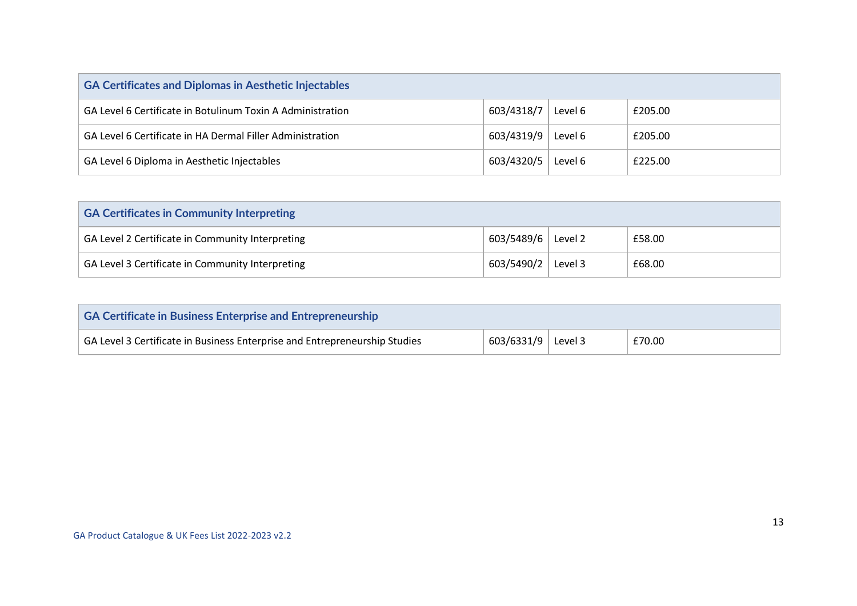| <b>GA Certificates and Diplomas in Aesthetic Injectables</b> |            |         |         |
|--------------------------------------------------------------|------------|---------|---------|
| GA Level 6 Certificate in Botulinum Toxin A Administration   | 603/4318/7 | Level 6 | £205.00 |
| GA Level 6 Certificate in HA Dermal Filler Administration    | 603/4319/9 | Level 6 | £205.00 |
| GA Level 6 Diploma in Aesthetic Injectables                  | 603/4320/5 | Level 6 | £225.00 |

| <b>GA Certificates in Community Interpreting</b> |            |         |        |
|--------------------------------------------------|------------|---------|--------|
| GA Level 2 Certificate in Community Interpreting | 603/5489/6 | Level 2 | £58.00 |
| GA Level 3 Certificate in Community Interpreting | 603/5490/2 | Level 3 | £68.00 |

| <b>GA Certificate in Business Enterprise and Entrepreneurship</b>          |                      |  |        |
|----------------------------------------------------------------------------|----------------------|--|--------|
| GA Level 3 Certificate in Business Enterprise and Entrepreneurship Studies | 603/6331/9   Level 3 |  | £70.00 |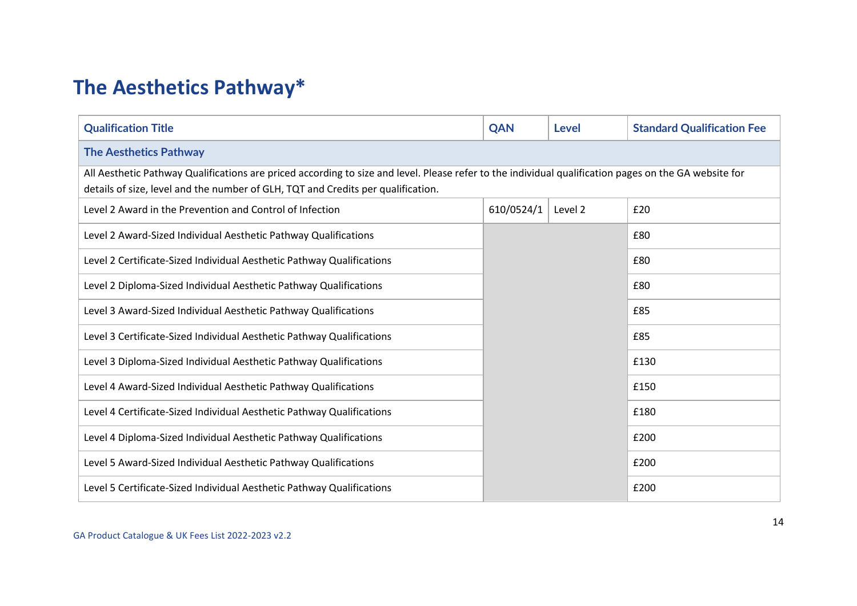# **The Aesthetics Pathway\***

| <b>Qualification Title</b>                                                                                                                                                                                                                | <b>QAN</b> | <b>Level</b> | <b>Standard Qualification Fee</b> |  |
|-------------------------------------------------------------------------------------------------------------------------------------------------------------------------------------------------------------------------------------------|------------|--------------|-----------------------------------|--|
| <b>The Aesthetics Pathway</b>                                                                                                                                                                                                             |            |              |                                   |  |
| All Aesthetic Pathway Qualifications are priced according to size and level. Please refer to the individual qualification pages on the GA website for<br>details of size, level and the number of GLH, TQT and Credits per qualification. |            |              |                                   |  |
| Level 2 Award in the Prevention and Control of Infection                                                                                                                                                                                  | 610/0524/1 | Level 2      | £20                               |  |
| Level 2 Award-Sized Individual Aesthetic Pathway Qualifications                                                                                                                                                                           |            |              | £80                               |  |
| Level 2 Certificate-Sized Individual Aesthetic Pathway Qualifications                                                                                                                                                                     |            |              | £80                               |  |
| Level 2 Diploma-Sized Individual Aesthetic Pathway Qualifications                                                                                                                                                                         |            |              | £80                               |  |
| Level 3 Award-Sized Individual Aesthetic Pathway Qualifications                                                                                                                                                                           |            |              | £85                               |  |
| Level 3 Certificate-Sized Individual Aesthetic Pathway Qualifications                                                                                                                                                                     |            |              | £85                               |  |
| Level 3 Diploma-Sized Individual Aesthetic Pathway Qualifications                                                                                                                                                                         |            |              | £130                              |  |
| Level 4 Award-Sized Individual Aesthetic Pathway Qualifications                                                                                                                                                                           |            |              | £150                              |  |
| Level 4 Certificate-Sized Individual Aesthetic Pathway Qualifications                                                                                                                                                                     |            |              | £180                              |  |
| Level 4 Diploma-Sized Individual Aesthetic Pathway Qualifications                                                                                                                                                                         |            |              | £200                              |  |
| Level 5 Award-Sized Individual Aesthetic Pathway Qualifications                                                                                                                                                                           |            |              | £200                              |  |
| Level 5 Certificate-Sized Individual Aesthetic Pathway Qualifications                                                                                                                                                                     |            |              | £200                              |  |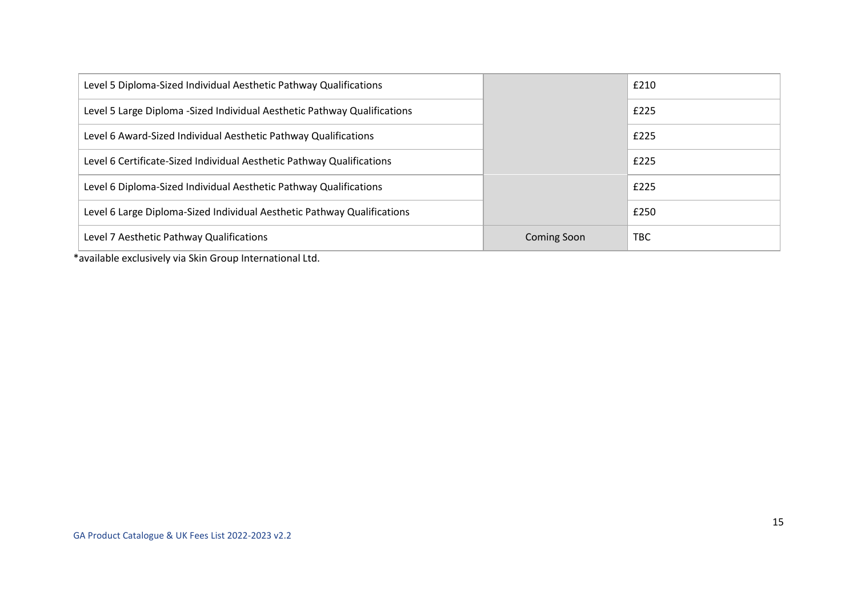| Level 5 Diploma-Sized Individual Aesthetic Pathway Qualifications         |                    | £210       |
|---------------------------------------------------------------------------|--------------------|------------|
| Level 5 Large Diploma - Sized Individual Aesthetic Pathway Qualifications |                    | £225       |
| Level 6 Award-Sized Individual Aesthetic Pathway Qualifications           |                    | £225       |
| Level 6 Certificate-Sized Individual Aesthetic Pathway Qualifications     |                    | £225       |
| Level 6 Diploma-Sized Individual Aesthetic Pathway Qualifications         |                    | £225       |
| Level 6 Large Diploma-Sized Individual Aesthetic Pathway Qualifications   |                    | £250       |
| Level 7 Aesthetic Pathway Qualifications                                  | <b>Coming Soon</b> | <b>TBC</b> |

\*available exclusively via Skin Group International Ltd.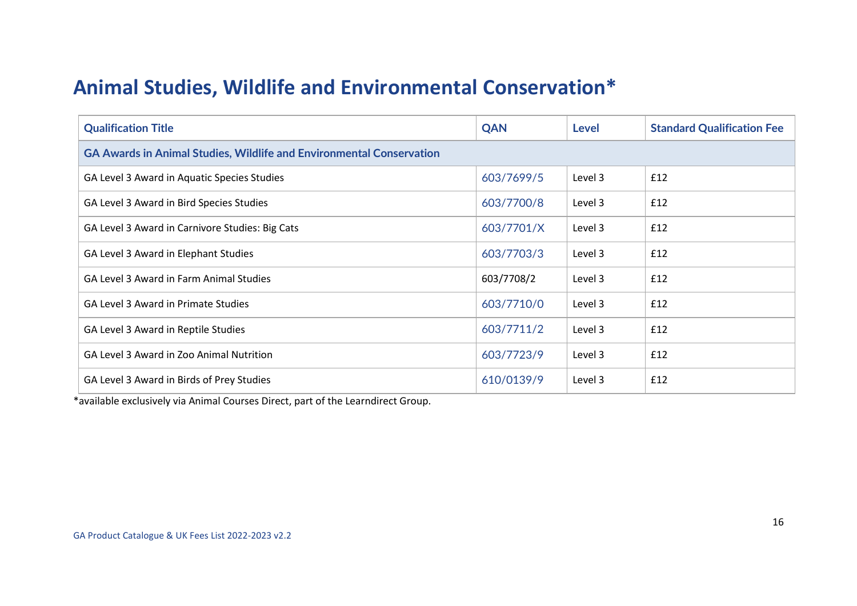#### **Animal Studies, Wildlife and Environmental Conservation\***

| <b>Qualification Title</b>                                                  | <b>QAN</b> | Level   | <b>Standard Qualification Fee</b> |  |  |
|-----------------------------------------------------------------------------|------------|---------|-----------------------------------|--|--|
| <b>GA Awards in Animal Studies, Wildlife and Environmental Conservation</b> |            |         |                                   |  |  |
| GA Level 3 Award in Aquatic Species Studies                                 | 603/7699/5 | Level 3 | £12                               |  |  |
| GA Level 3 Award in Bird Species Studies                                    | 603/7700/8 | Level 3 | £12                               |  |  |
| GA Level 3 Award in Carnivore Studies: Big Cats                             | 603/7701/X | Level 3 | £12                               |  |  |
| GA Level 3 Award in Elephant Studies                                        | 603/7703/3 | Level 3 | £12                               |  |  |
| <b>GA Level 3 Award in Farm Animal Studies</b>                              | 603/7708/2 | Level 3 | £12                               |  |  |
| GA Level 3 Award in Primate Studies                                         | 603/7710/0 | Level 3 | £12                               |  |  |
| GA Level 3 Award in Reptile Studies                                         | 603/7711/2 | Level 3 | £12                               |  |  |
| GA Level 3 Award in Zoo Animal Nutrition                                    | 603/7723/9 | Level 3 | £12                               |  |  |
| GA Level 3 Award in Birds of Prey Studies                                   | 610/0139/9 | Level 3 | £12                               |  |  |

\*available exclusively via Animal Courses Direct, part of the Learndirect Group.